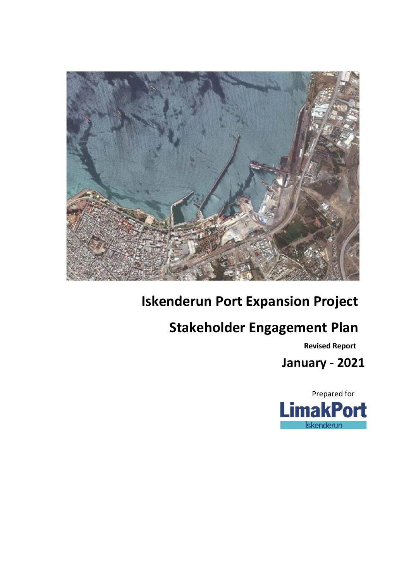

# **Iskenderun Port Expansion Project**

# **Stakeholder Engagement Plan**

 **Revised Report**

**January - 2021 Public Consultation and Disclosure language and Disclosure language and Disclosure language and Disclosure language and Disclosure language and Disclosure and Disclosure language and Disclosure and Disclosure language and** 

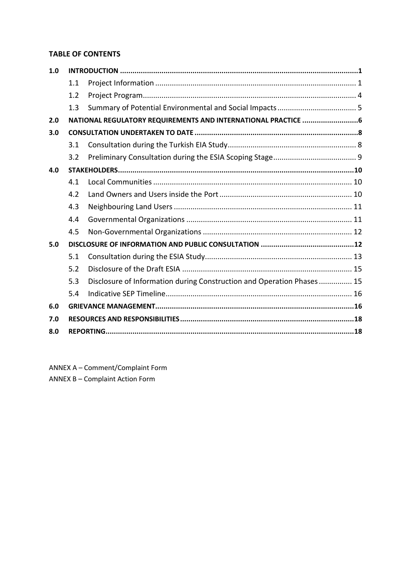### **TABLE OF CONTENTS**

| 1.0 |     |                                                                       |  |  |
|-----|-----|-----------------------------------------------------------------------|--|--|
|     | 1.1 |                                                                       |  |  |
|     | 1.2 |                                                                       |  |  |
|     | 1.3 |                                                                       |  |  |
| 2.0 |     | NATIONAL REGULATORY REQUIREMENTS AND INTERNATIONAL PRACTICE 6         |  |  |
| 3.0 |     |                                                                       |  |  |
|     | 3.1 |                                                                       |  |  |
|     | 3.2 |                                                                       |  |  |
| 4.0 |     |                                                                       |  |  |
|     | 4.1 |                                                                       |  |  |
|     | 4.2 |                                                                       |  |  |
|     | 4.3 |                                                                       |  |  |
|     | 4.4 |                                                                       |  |  |
|     | 4.5 |                                                                       |  |  |
| 5.0 |     |                                                                       |  |  |
|     | 5.1 |                                                                       |  |  |
|     | 5.2 |                                                                       |  |  |
|     | 5.3 | Disclosure of Information during Construction and Operation Phases 15 |  |  |
|     | 5.4 |                                                                       |  |  |
| 6.0 |     |                                                                       |  |  |
| 7.0 |     |                                                                       |  |  |
| 8.0 |     |                                                                       |  |  |

ANNEX A – Comment/Complaint Form

ANNEX B – Complaint Action Form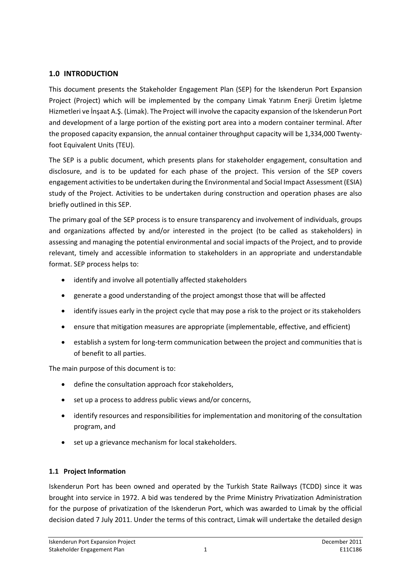### **1.0 INTRODUCTION**

This document presents the Stakeholder Engagement Plan (SEP) for the Iskenderun Port Expansion Project (Project) which will be implemented by the company Limak Yatırım Enerji Üretim İşletme Hizmetleri ve İnşaat A.Ş. (Limak). The Project will involve the capacity expansion of the Iskenderun Port and development of a large portion of the existing port area into a modern container terminal. After the proposed capacity expansion, the annual container throughput capacity will be 1,334,000 Twenty‐ foot Equivalent Units (TEU).

The SEP is a public document, which presents plans for stakeholder engagement, consultation and disclosure, and is to be updated for each phase of the project. This version of the SEP covers engagement activities to be undertaken during the Environmental and Social Impact Assessment (ESIA) study of the Project. Activities to be undertaken during construction and operation phases are also briefly outlined in this SEP.

The primary goal of the SEP process is to ensure transparency and involvement of individuals, groups and organizations affected by and/or interested in the project (to be called as stakeholders) in assessing and managing the potential environmental and social impacts of the Project, and to provide relevant, timely and accessible information to stakeholders in an appropriate and understandable format. SEP process helps to:

- identify and involve all potentially affected stakeholders
- generate a good understanding of the project amongst those that will be affected
- identify issues early in the project cycle that may pose a risk to the project or its stakeholders
- ensure that mitigation measures are appropriate (implementable, effective, and efficient)
- establish a system for long-term communication between the project and communities that is of benefit to all parties.

The main purpose of this document is to:

- define the consultation approach fcor stakeholders,
- set up a process to address public views and/or concerns,
- identify resources and responsibilities for implementation and monitoring of the consultation program, and
- set up a grievance mechanism for local stakeholders.

### **1.1 Project Information**

Iskenderun Port has been owned and operated by the Turkish State Railways (TCDD) since it was brought into service in 1972. A bid was tendered by the Prime Ministry Privatization Administration for the purpose of privatization of the Iskenderun Port, which was awarded to Limak by the official decision dated 7 July 2011. Under the terms of this contract, Limak will undertake the detailed design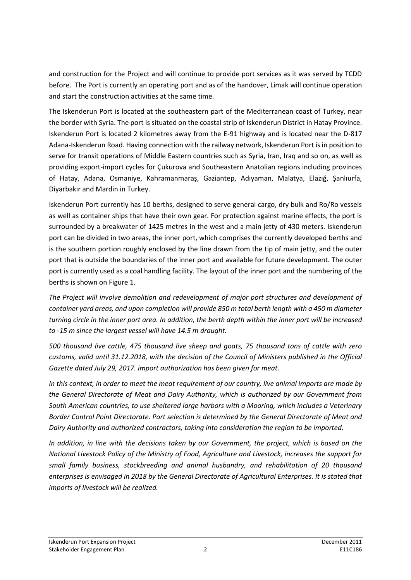and construction for the Project and will continue to provide port services as it was served by TCDD before. The Port is currently an operating port and as of the handover, Limak will continue operation and start the construction activities at the same time.

The Iskenderun Port is located at the southeastern part of the Mediterranean coast of Turkey, near the border with Syria. The port is situated on the coastal strip of Iskenderun District in Hatay Province. Iskenderun Port is located 2 kilometres away from the E-91 highway and is located near the D-817 Adana-Iskenderun Road. Having connection with the railway network, Iskenderun Port is in position to serve for transit operations of Middle Eastern countries such as Syria, Iran, Iraq and so on, as well as providing export-import cycles for Çukurova and Southeastern Anatolian regions including provinces of Hatay, Adana, Osmaniye, Kahramanmaraş, Gaziantep, Adıyaman, Malatya, Elazığ, Şanlıurfa, Diyarbakır and Mardin in Turkey.

Iskenderun Port currently has 10 berths, designed to serve general cargo, dry bulk and Ro/Ro vessels as well as container ships that have their own gear. For protection against marine effects, the port is surrounded by a breakwater of 1425 metres in the west and a main jetty of 430 meters. Iskenderun port can be divided in two areas, the inner port, which comprises the currently developed berths and is the southern portion roughly enclosed by the line drawn from the tip of main jetty, and the outer port that is outside the boundaries of the inner port and available for future development. The outer port is currently used as a coal handling facility. The layout of the inner port and the numbering of the berths is shown on Figure 1.

*The Project will involve demolition and redevelopment of major port structures and development of container yard areas, and upon completion will provide 850 m total berth length with a 450 m diameter turning circle in the inner port area. In addition, the berth depth within the inner port will be increased to -15 m since the largest vessel will have 14.5 m draught.*

*500 thousand live cattle, 475 thousand live sheep and goats, 75 thousand tons of cattle with zero customs, valid until 31.12.2018, with the decision of the Council of Ministers published in the Official Gazette dated July 29, 2017. import authorization has been given for meat.*

*In this context, in order to meet the meat requirement of our country, live animal imports are made by the General Directorate of Meat and Dairy Authority, which is authorized by our Government from South American countries, to use sheltered large harbors with a Mooring, which includes a Veterinary Border Control Point Directorate. Port selection is determined by the General Directorate of Meat and Dairy Authority and authorized contractors, taking into consideration the region to be imported.*

*In addition, in line with the decisions taken by our Government, the project, which is based on the National Livestock Policy of the Ministry of Food, Agriculture and Livestock, increases the support for small family business, stockbreeding and animal husbandry, and rehabilitation of 20 thousand enterprises is envisaged in 2018 by the General Directorate of Agricultural Enterprises. It is stated that imports of livestock will be realized.*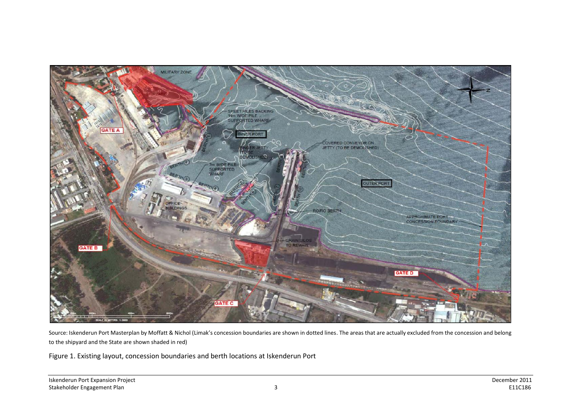

Source: Iskenderun Port Masterplan by Moffatt & Nichol (Limak's concession boundaries are shown in dotted lines. The areas that are actually excluded from the concession and belong to the shipyard and the State are shown shaded in red)

Figure 1. Existing layout, concession boundaries and berth locations at Iskenderun Port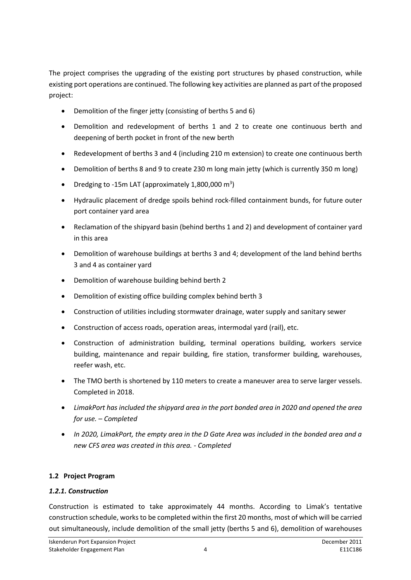The project comprises the upgrading of the existing port structures by phased construction, while existing port operations are continued. The following key activities are planned as part of the proposed project:

- Demolition of the finger jetty (consisting of berths 5 and 6)
- Demolition and redevelopment of berths 1 and 2 to create one continuous berth and deepening of berth pocket in front of the new berth
- Redevelopment of berths 3 and 4 (including 210 m extension) to create one continuous berth
- Demolition of berths 8 and 9 to create 230 m long main jetty (which is currently 350 m long)
- Dredging to -15m LAT (approximately 1,800,000  $m^3$ )
- Hydraulic placement of dredge spoils behind rock-filled containment bunds, for future outer port container yard area
- Reclamation of the shipyard basin (behind berths 1 and 2) and development of container yard in this area
- Demolition of warehouse buildings at berths 3 and 4; development of the land behind berths 3 and 4 as container yard
- Demolition of warehouse building behind berth 2
- Demolition of existing office building complex behind berth 3
- Construction of utilities including stormwater drainage, water supply and sanitary sewer
- Construction of access roads, operation areas, intermodal yard (rail), etc.
- Construction of administration building, terminal operations building, workers service building, maintenance and repair building, fire station, transformer building, warehouses, reefer wash, etc.
- The TMO berth is shortened by 110 meters to create a maneuver area to serve larger vessels. Completed in 2018.
- *LimakPort has included the shipyard area in the port bonded area in 2020 and opened the area for use. – Completed*
- *In 2020, LimakPort, the empty area in the D Gate Area was included in the bonded area and a new CFS area was created in this area. - Completed*

### **1.2 Project Program**

### *1.2.1. Construction*

Construction is estimated to take approximately 44 months. According to Limak's tentative construction schedule, works to be completed within the first 20 months, most of which will be carried out simultaneously, include demolition of the small jetty (berths 5 and 6), demolition of warehouses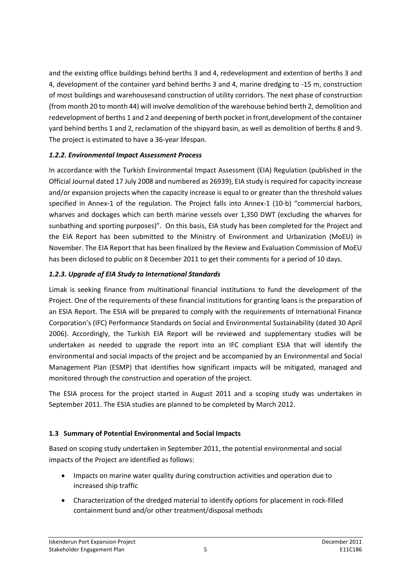and the existing office buildings behind berths 3 and 4, redevelopment and extention of berths 3 and 4, development of the container yard behind berths 3 and 4, marine dredging to -15 m, construction of most buildings and warehousesand construction of utility corridors. The next phase of construction (from month 20 to month 44) will involve demolition of the warehouse behind berth 2, demolition and redevelopment of berths 1 and 2 and deepening of berth pocket in front,development of the container yard behind berths 1 and 2, reclamation of the shipyard basin, as well as demolition of berths 8 and 9. The project is estimated to have a 36-year lifespan.

### *1.2.2. Environmental Impact Assessment Process*

In accordance with the Turkish Environmental Impact Assessment (EIA) Regulation (published in the Official Journal dated 17 July 2008 and numbered as 26939), EIA study is required for capacity increase and/or expansion projects when the capacity increase is equal to or greater than the threshold values specified in Annex-1 of the regulation. The Project falls into Annex-1 (10-b) "commercial harbors, wharves and dockages which can berth marine vessels over 1,350 DWT (excluding the wharves for sunbathing and sporting purposes)". On this basis, EIA study has been completed for the Project and the EIA Report has been submitted to the Ministry of Environment and Urbanization (MoEU) in November. The EIA Report that has been finalized by the Review and Evaluation Commission of MoEU has been diclosed to public on 8 December 2011 to get their comments for a period of 10 days.

### *1.2.3. Upgrade of EIA Study to International Standards*

Limak is seeking finance from multinational financial institutions to fund the development of the Project. One of the requirements of these financial institutions for granting loans is the preparation of an ESIA Report. The ESIA will be prepared to comply with the requirements of International Finance Corporation's (IFC) Performance Standards on Social and Environmental Sustainability (dated 30 April 2006). Accordingly, the Turkish EIA Report will be reviewed and supplementary studies will be undertaken as needed to upgrade the report into an IFC compliant ESIA that will identify the environmental and social impacts of the project and be accompanied by an Environmental and Social Management Plan (ESMP) that identifies how significant impacts will be mitigated, managed and monitored through the construction and operation of the project.

The ESIA process for the project started in August 2011 and a scoping study was undertaken in September 2011. The ESIA studies are planned to be completed by March 2012.

### **1.3 Summary of Potential Environmental and Social Impacts**

Based on scoping study undertaken in September 2011, the potential environmental and social impacts of the Project are identified as follows:

- Impacts on marine water quality during construction activities and operation due to increased ship traffic
- Characterization of the dredged material to identify options for placement in rock-filled containment bund and/or other treatment/disposal methods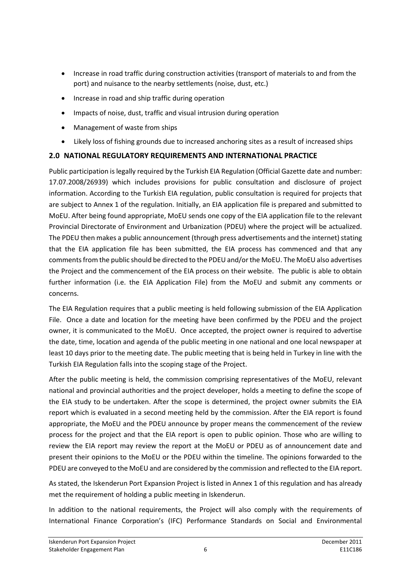- Increase in road traffic during construction activities (transport of materials to and from the port) and nuisance to the nearby settlements (noise, dust, etc.)
- Increase in road and ship traffic during operation
- Impacts of noise, dust, traffic and visual intrusion during operation
- Management of waste from ships
- Likely loss of fishing grounds due to increased anchoring sites as a result of increased ships

### **2.0 NATIONAL REGULATORY REQUIREMENTS AND INTERNATIONAL PRACTICE**

Public participation is legally required by the Turkish EIA Regulation (Official Gazette date and number: 17.07.2008/26939) which includes provisions for public consultation and disclosure of project information. According to the Turkish EIA regulation, public consultation is required for projects that are subject to Annex 1 of the regulation. Initially, an EIA application file is prepared and submitted to MoEU. After being found appropriate, MoEU sends one copy of the EIA application file to the relevant Provincial Directorate of Environment and Urbanization (PDEU) where the project will be actualized. The PDEU then makes a public announcement (through press advertisements and the internet) stating that the EIA application file has been submitted, the EIA process has commenced and that any comments from the public should be directed to the PDEU and/or the MoEU. The MoEU also advertises the Project and the commencement of the EIA process on their website. The public is able to obtain further information (i.e. the EIA Application File) from the MoEU and submit any comments or concerns.

The EIA Regulation requires that a public meeting is held following submission of the EIA Application File. Once a date and location for the meeting have been confirmed by the PDEU and the project owner, it is communicated to the MoEU. Once accepted, the project owner is required to advertise the date, time, location and agenda of the public meeting in one national and one local newspaper at least 10 days prior to the meeting date. The public meeting that is being held in Turkey in line with the Turkish EIA Regulation falls into the scoping stage of the Project.

After the public meeting is held, the commission comprising representatives of the MoEU, relevant national and provincial authorities and the project developer, holds a meeting to define the scope of the EIA study to be undertaken. After the scope is determined, the project owner submits the EIA report which is evaluated in a second meeting held by the commission. After the EIA report is found appropriate, the MoEU and the PDEU announce by proper means the commencement of the review process for the project and that the EIA report is open to public opinion. Those who are willing to review the EIA report may review the report at the MoEU or PDEU as of announcement date and present their opinions to the MoEU or the PDEU within the timeline. The opinions forwarded to the PDEU are conveyed to the MoEU and are considered by the commission and reflected to the EIA report.

As stated, the Iskenderun Port Expansion Project is listed in Annex 1 of this regulation and has already met the requirement of holding a public meeting in Iskenderun.

In addition to the national requirements, the Project will also comply with the requirements of International Finance Corporation's (IFC) Performance Standards on Social and Environmental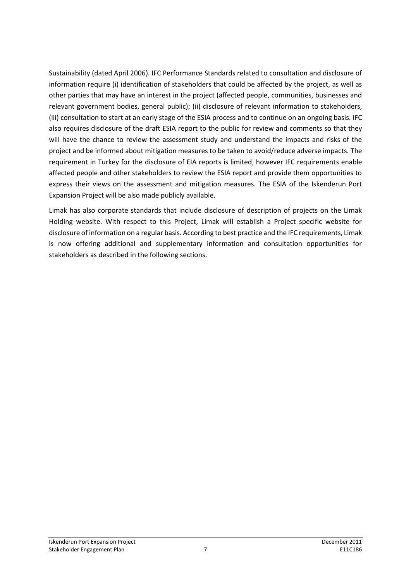Sustainability (dated April 2006). IFC Performance Standards related to consultation and disclosure of information require (i) identification of stakeholders that could be affected by the project, as well as other parties that may have an interest in the project (affected people, communities, businesses and relevant government bodies, general public); (ii) disclosure of relevant information to stakeholders, (iii) consultation to start at an early stage of the ESIA process and to continue on an ongoing basis. IFC also requires disclosure of the draft ESIA report to the public for review and comments so that they will have the chance to review the assessment study and understand the impacts and risks of the project and be informed about mitigation measures to be taken to avoid/reduce adverse impacts. The requirement in Turkey for the disclosure of EIA reports is limited, however IFC requirements enable affected people and other stakeholders to review the ESIA report and provide them opportunities to express their views on the assessment and mitigation measures. The ESIA of the Iskenderun Port Expansion Project will be also made publicly available.

Limak has also corporate standards that include disclosure of description of projects on the Limak Holding website. With respect to this Project, Limak will establish a Project specific website for disclosure of information on a regular basis. According to best practice and the IFC requirements, Limak is now offering additional and supplementary information and consultation opportunities for stakeholders as described in the following sections.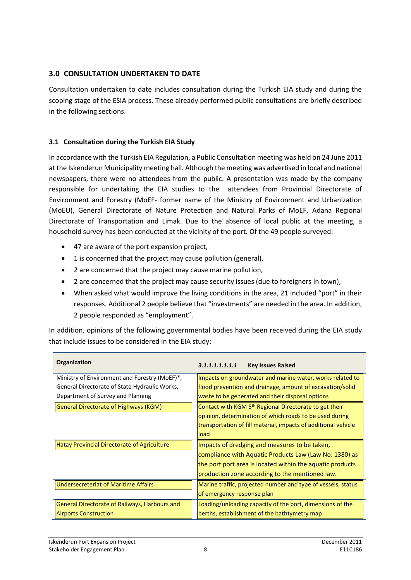### **3.0 CONSULTATION UNDERTAKEN TO DATE**

Consultation undertaken to date includes consultation during the Turkish EIA study and during the scoping stage of the ESIA process. These already performed public consultations are briefly described in the following sections.

### **3.1 Consultation during the Turkish EIA Study**

In accordance with the Turkish EIA Regulation, a Public Consultation meeting was held on 24 June 2011 at the Iskenderun Municipality meeting hall. Although the meeting was advertised in local and national newspapers, there were no attendees from the public. A presentation was made by the company responsible for undertaking the EIA studies to the attendees from Provincial Directorate of Environment and Forestry (MoEF- former name of the Ministry of Environment and Urbanization (MoEU), General Directorate of Nature Protection and Natural Parks of MoEF, Adana Regional Directorate of Transportation and Limak. Due to the absence of local public at the meeting, a household survey has been conducted at the vicinity of the port. Of the 49 people surveyed:

- 47 are aware of the port expansion project,
- 1 is concerned that the project may cause pollution (general),
- 2 are concerned that the project may cause marine pollution,
- 2 are concerned that the project may cause security issues (due to foreigners in town),
- When asked what would improve the living conditions in the area, 21 included "port" in their responses. Additional 2 people believe that "investments" are needed in the area. In addition, 2 people responded as "employment".

In addition, opinions of the following governmental bodies have been received during the EIA study that include issues to be considered in the EIA study:

| Organization                                  | 3.1.1.1.1.1.1.1<br><b>Key Issues Raised</b>                        |
|-----------------------------------------------|--------------------------------------------------------------------|
| Ministry of Environment and Forestry (MoEF)*, | Impacts on groundwater and marine water, works related to          |
| General Directorate of State Hydraulic Works, | flood prevention and drainage, amount of excavation/solid          |
| Department of Survey and Planning             | waste to be generated and their disposal options                   |
| <b>General Directorate of Highways (KGM)</b>  | Contact with KGM 5 <sup>th</sup> Regional Directorate to get their |
|                                               | opinion, determination of which roads to be used during            |
|                                               | transportation of fill material, impacts of additional vehicle     |
|                                               | load                                                               |
| Hatay Provincial Directorate of Agriculture   | Impacts of dredging and measures to be taken,                      |
|                                               | compliance with Aquatic Products Law (Law No: 1380) as             |
|                                               | the port port area is located within the aquatic products          |
|                                               | production zone according to the mentioned law.                    |
| <b>Undersecreteriat of Maritime Affairs</b>   | Marine traffic, projected number and type of vessels, status       |
|                                               | of emergency response plan                                         |
| General Directorate of Railways, Harbours and | Loading/unloading capacity of the port, dimensions of the          |
| <b>Airports Construction</b>                  | berths, establishment of the bathtymetry map                       |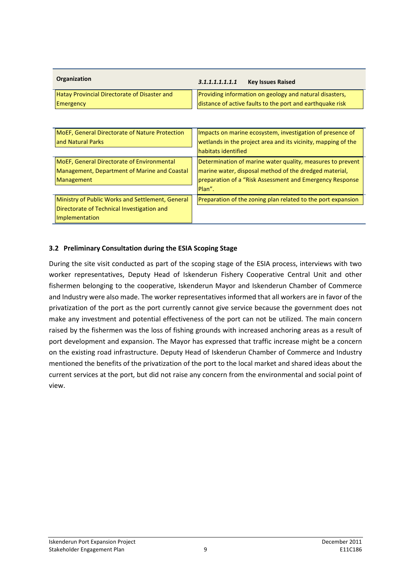| Organization                                        | 3.1.1.1.1.1.1.1<br><b>Key Issues Raised</b>               |  |
|-----------------------------------------------------|-----------------------------------------------------------|--|
| <b>Hatay Provincial Directorate of Disaster and</b> | Providing information on geology and natural disasters,   |  |
| <b>Emergency</b>                                    | distance of active faults to the port and earthquake risk |  |

| <b>MoEF, General Directorate of Nature Protection</b><br>and Natural Parks                                       | Impacts on marine ecosystem, investigation of presence of<br>wetlands in the project area and its vicinity, mapping of the<br><b>habitats identified</b>                                   |
|------------------------------------------------------------------------------------------------------------------|--------------------------------------------------------------------------------------------------------------------------------------------------------------------------------------------|
| MoEF, General Directorate of Environmental<br>Management, Department of Marine and Coastal<br>Management         | Determination of marine water quality, measures to prevent<br>marine water, disposal method of the dredged material,<br>preparation of a "Risk Assessment and Emergency Response<br>Plan". |
| Ministry of Public Works and Settlement, General<br>Directorate of Technical Investigation and<br>Implementation | Preparation of the zoning plan related to the port expansion                                                                                                                               |

### **3.2 Preliminary Consultation during the ESIA Scoping Stage**

During the site visit conducted as part of the scoping stage of the ESIA process, interviews with two worker representatives, Deputy Head of Iskenderun Fishery Cooperative Central Unit and other fishermen belonging to the cooperative, Iskenderun Mayor and Iskenderun Chamber of Commerce and Industry were also made. The worker representatives informed that all workers are in favor of the privatization of the port as the port currently cannot give service because the government does not make any investment and potential effectiveness of the port can not be utilized. The main concern raised by the fishermen was the loss of fishing grounds with increased anchoring areas as a result of port development and expansion. The Mayor has expressed that traffic increase might be a concern on the existing road infrastructure. Deputy Head of Iskenderun Chamber of Commerce and Industry mentioned the benefits of the privatization of the port to the local market and shared ideas about the current services at the port, but did not raise any concern from the environmental and social point of view.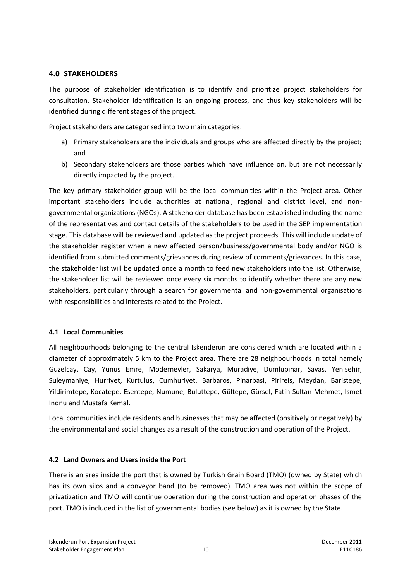### **4.0 STAKEHOLDERS**

The purpose of stakeholder identification is to identify and prioritize project stakeholders for consultation. Stakeholder identification is an ongoing process, and thus key stakeholders will be identified during different stages of the project.

Project stakeholders are categorised into two main categories:

- a) Primary stakeholders are the individuals and groups who are affected directly by the project; and
- b) Secondary stakeholders are those parties which have influence on, but are not necessarily directly impacted by the project.

The key primary stakeholder group will be the local communities within the Project area. Other important stakeholders include authorities at national, regional and district level, and nongovernmental organizations (NGOs). A stakeholder database has been established including the name of the representatives and contact details of the stakeholders to be used in the SEP implementation stage. This database will be reviewed and updated as the project proceeds. This will include update of the stakeholder register when a new affected person/business/governmental body and/or NGO is identified from submitted comments/grievances during review of comments/grievances. In this case, the stakeholder list will be updated once a month to feed new stakeholders into the list. Otherwise, the stakeholder list will be reviewed once every six months to identify whether there are any new stakeholders, particularly through a search for governmental and non-governmental organisations with responsibilities and interests related to the Project.

### **4.1 Local Communities**

All neighbourhoods belonging to the central Iskenderun are considered which are located within a diameter of approximately 5 km to the Project area. There are 28 neighbourhoods in total namely Guzelcay, Cay, Yunus Emre, Modernevler, Sakarya, Muradiye, Dumlupinar, Savas, Yenisehir, Suleymaniye, Hurriyet, Kurtulus, Cumhuriyet, Barbaros, Pinarbasi, Pirireis, Meydan, Baristepe, Yildirimtepe, Kocatepe, Esentepe, Numune, Buluttepe, Gültepe, Gürsel, Fatih Sultan Mehmet, Ismet Inonu and Mustafa Kemal.

Local communities include residents and businesses that may be affected (positively or negatively) by the environmental and social changes as a result of the construction and operation of the Project.

### **4.2 Land Owners and Users inside the Port**

There is an area inside the port that is owned by Turkish Grain Board (TMO) (owned by State) which has its own silos and a conveyor band (to be removed). TMO area was not within the scope of privatization and TMO will continue operation during the construction and operation phases of the port. TMO is included in the list of governmental bodies (see below) as it is owned by the State.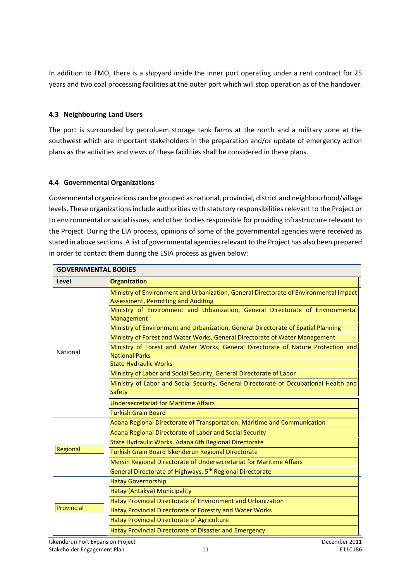In addition to TMO, there is a shipyard inside the inner port operating under a rent contract for 25 years and two coal processing facilities at the outer port which will stop operation as of the handover.

### **4.3 Neighbouring Land Users**

The port is surrounded by petroluem storage tank farms at the north and a military zone at the southwest which are important stakeholders in the preparation and/or update of emergency action plans as the activities and views of these facilities shall be considered in these plans.

### **4.4 Governmental Organizations**

Governmental organizations can be grouped as national, provincial, district and neighbourhood/village levels. These organizations include authorities with statutory responsibilities relevant to the Project or to environmental or social issues, and other bodies responsible for providing infrastructure relevant to the Project. During the EIA process, opinions of some of the governmental agencies were received as stated in above sections. A list of governmental agencies relevant to the Project has also been prepared in order to contact them during the ESIA process as given below:

| <b>GOVERNMENTAL BODIES</b> |                                                                                                                              |  |  |
|----------------------------|------------------------------------------------------------------------------------------------------------------------------|--|--|
| Level                      | <b>Organization</b>                                                                                                          |  |  |
|                            | Ministry of Environment and Urbanization, General Directorate of Environmental Impact<br>Assessment, Permitting and Auditing |  |  |
|                            | Ministry of Environment and Urbanization, General Directorate of Environmental<br>Management                                 |  |  |
|                            | Ministry of Environment and Urbanization, General Directorate of Spatial Planning                                            |  |  |
|                            | Ministry of Forest and Water Works, General Directorate of Water Management                                                  |  |  |
| National                   | Ministry of Forest and Water Works, General Directorate of Nature Protection and<br><b>National Parks</b>                    |  |  |
|                            | <b>State Hydraulic Works</b>                                                                                                 |  |  |
|                            | Ministry of Labor and Social Security, General Directorate of Labor                                                          |  |  |
|                            | Ministry of Labor and Social Security, General Directorate of Occupational Health and                                        |  |  |
|                            | Safety                                                                                                                       |  |  |
|                            | Undersecretariat for Maritime Affairs                                                                                        |  |  |
|                            | <b>Turkish Grain Board</b>                                                                                                   |  |  |
|                            | Adana Regional Directorate of Transportation, Maritime and Communication                                                     |  |  |
|                            | Adana Regional Directorate of Labor and Social Security                                                                      |  |  |
|                            | State Hydraulic Works, Adana 6th Regional Directorate                                                                        |  |  |
| Regional                   | Turkish Grain Board İskenderun Regional Directorate                                                                          |  |  |
|                            | Mersin Regional Directorate of Undersecretariat for Maritime Affairs                                                         |  |  |
|                            | General Directorate of Highways, 5 <sup>th</sup> Regional Directorate                                                        |  |  |
|                            | <b>Hatay Governorship</b>                                                                                                    |  |  |
|                            | Hatay (Antakya) Municipality                                                                                                 |  |  |
|                            | Hatay Provincial Directorate of Environment and Urbanization                                                                 |  |  |
| Provincial                 | Hatay Provincial Directorate of Forestry and Water Works                                                                     |  |  |
|                            | Hatay Provincial Directorate of Agriculture                                                                                  |  |  |
|                            | Hatay Provincial Directorate of Disaster and Emergency                                                                       |  |  |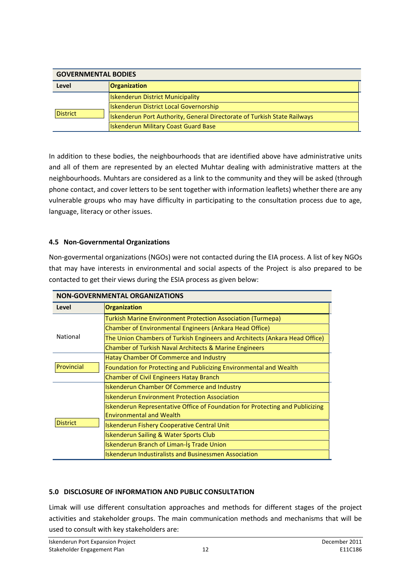| <b>GOVERNMENTAL BODIES</b> |                                                                          |  |  |
|----------------------------|--------------------------------------------------------------------------|--|--|
| Level                      | <b>Organization</b>                                                      |  |  |
|                            | <b>Iskenderun District Municipality</b>                                  |  |  |
|                            | <b>Iskenderun District Local Governorship</b>                            |  |  |
| <b>District</b>            | Iskenderun Port Authority, General Directorate of Turkish State Railways |  |  |
|                            | <b>Iskenderun Military Coast Guard Base</b>                              |  |  |

In addition to these bodies, the neighbourhoods that are identified above have administrative units and all of them are represented by an elected Muhtar dealing with administrative matters at the neighbourhoods. Muhtars are considered as a link to the community and they will be asked (through phone contact, and cover letters to be sent together with information leaflets) whether there are any vulnerable groups who may have difficulty in participating to the consultation process due to age, language, literacy or other issues.

### **4.5 Non-Governmental Organizations**

Non-govermental organizations (NGOs) were not contacted during the EIA process. A list of key NGOs that may have interests in environmental and social aspects of the Project is also prepared to be contacted to get their views during the ESIA process as given below:

| <b>NON-GOVERNMENTAL ORGANIZATIONS</b> |                                                                                                                  |  |  |  |
|---------------------------------------|------------------------------------------------------------------------------------------------------------------|--|--|--|
| Level                                 | <b>Organization</b>                                                                                              |  |  |  |
|                                       | Turkish Marine Environment Protection Association (Turmepa)                                                      |  |  |  |
|                                       | Chamber of Environmental Engineers (Ankara Head Office)                                                          |  |  |  |
| National                              | The Union Chambers of Turkish Engineers and Architects (Ankara Head Office)                                      |  |  |  |
|                                       | Chamber of Turkish Naval Architects & Marine Engineers                                                           |  |  |  |
|                                       | Hatay Chamber Of Commerce and Industry                                                                           |  |  |  |
| Provincial                            | Foundation for Protecting and Publicizing Environmental and Wealth                                               |  |  |  |
|                                       | <b>Chamber of Civil Engineers Hatay Branch</b>                                                                   |  |  |  |
|                                       | <b>Iskenderun Chamber Of Commerce and Industry</b>                                                               |  |  |  |
|                                       | <b>Iskenderun Environment Protection Association</b>                                                             |  |  |  |
|                                       | Iskenderun Representative Office of Foundation for Protecting and Publicizing<br><b>Environmental and Wealth</b> |  |  |  |
| <b>District</b>                       | <b>Iskenderun Fishery Cooperative Central Unit</b>                                                               |  |  |  |
|                                       | <b>Iskenderun Sailing &amp; Water Sports Club</b>                                                                |  |  |  |
|                                       | Iskenderun Branch of Liman-Is Trade Union                                                                        |  |  |  |
|                                       | <b>Iskenderun Industiralists and Businessmen Association</b>                                                     |  |  |  |

### **5.0 DISCLOSURE OF INFORMATION AND PUBLIC CONSULTATION**

Limak will use different consultation approaches and methods for different stages of the project activities and stakeholder groups. The main communication methods and mechanisms that will be used to consult with key stakeholders are: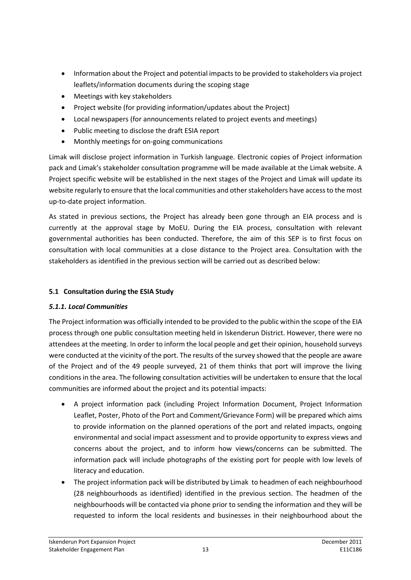- Information about the Project and potential impacts to be provided to stakeholders via project leaflets/information documents during the scoping stage
- Meetings with key stakeholders
- Project website (for providing information/updates about the Project)
- Local newspapers (for announcements related to project events and meetings)
- Public meeting to disclose the draft ESIA report
- Monthly meetings for on-going communications

Limak will disclose project information in Turkish language. Electronic copies of Project information pack and Limak's stakeholder consultation programme will be made available at the Limak website. A Project specific website will be established in the next stages of the Project and Limak will update its website regularly to ensure that the local communities and other stakeholders have access to the most up-to-date project information.

As stated in previous sections, the Project has already been gone through an EIA process and is currently at the approval stage by MoEU. During the EIA process, consultation with relevant governmental authorities has been conducted. Therefore, the aim of this SEP is to first focus on consultation with local communities at a close distance to the Project area. Consultation with the stakeholders as identified in the previous section will be carried out as described below:

### **5.1 Consultation during the ESIA Study**

### *5.1.1. Local Communities*

The Project information was officially intended to be provided to the public within the scope of the EIA process through one public consultation meeting held in Iskenderun District. However, there were no attendees at the meeting. In order to inform the local people and get their opinion, household surveys were conducted at the vicinity of the port. The results of the survey showed that the people are aware of the Project and of the 49 people surveyed, 21 of them thinks that port will improve the living conditions in the area. The following consultation activities will be undertaken to ensure that the local communities are informed about the project and its potential impacts:

- A project information pack (including Project Information Document, Project Information Leaflet, Poster, Photo of the Port and Comment/Grievance Form) will be prepared which aims to provide information on the planned operations of the port and related impacts, ongoing environmental and social impact assessment and to provide opportunity to express views and concerns about the project, and to inform how views/concerns can be submitted. The information pack will include photographs of the existing port for people with low levels of literacy and education.
- The project information pack will be distributed by Limak to headmen of each neighbourhood (28 neighbourhoods as identified) identified in the previous section. The headmen of the neighbourhoods will be contacted via phone prior to sending the information and they will be requested to inform the local residents and businesses in their neighbourhood about the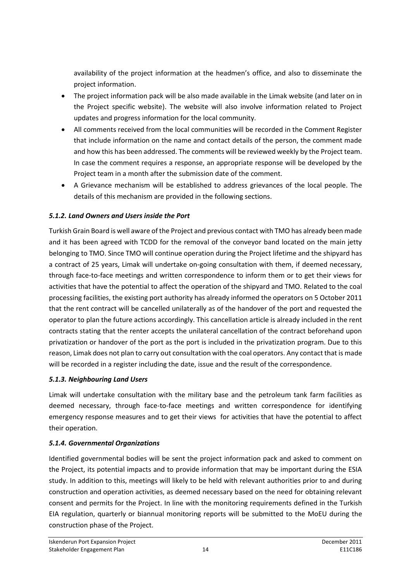availability of the project information at the headmen's office, and also to disseminate the project information.

- The project information pack will be also made available in the Limak website (and later on in the Project specific website). The website will also involve information related to Project updates and progress information for the local community.
- All comments received from the local communities will be recorded in the Comment Register that include information on the name and contact details of the person, the comment made and how this has been addressed. The comments will be reviewed weekly by the Project team. In case the comment requires a response, an appropriate response will be developed by the Project team in a month after the submission date of the comment.
- A Grievance mechanism will be established to address grievances of the local people. The details of this mechanism are provided in the following sections.

### *5.1.2. Land Owners and Users inside the Port*

Turkish Grain Board is well aware of the Project and previous contact with TMO has already been made and it has been agreed with TCDD for the removal of the conveyor band located on the main jetty belonging to TMO. Since TMO will continue operation during the Project lifetime and the shipyard has a contract of 25 years, Limak will undertake on-going consultation with them, if deemed necessary, through face-to-face meetings and written correspondence to inform them or to get their views for activities that have the potential to affect the operation of the shipyard and TMO. Related to the coal processing facilities, the existing port authority has already informed the operators on 5 October 2011 that the rent contract will be cancelled unilaterally as of the handover of the port and requested the operator to plan the future actions accordingly. This cancellation article is already included in the rent contracts stating that the renter accepts the unilateral cancellation of the contract beforehand upon privatization or handover of the port as the port is included in the privatization program. Due to this reason, Limak does not plan to carry out consultation with the coal operators. Any contact that is made will be recorded in a register including the date, issue and the result of the correspondence.

### *5.1.3. Neighbouring Land Users*

Limak will undertake consultation with the military base and the petroleum tank farm facilities as deemed necessary, through face-to-face meetings and written correspondence for identifying emergency response measures and to get their views for activities that have the potential to affect their operation.

### *5.1.4. Governmental Organizations*

Identified governmental bodies will be sent the project information pack and asked to comment on the Project, its potential impacts and to provide information that may be important during the ESIA study. In addition to this, meetings will likely to be held with relevant authorities prior to and during construction and operation activities, as deemed necessary based on the need for obtaining relevant consent and permits for the Project. In line with the monitoring requirements defined in the Turkish EIA regulation, quarterly or biannual monitoring reports will be submitted to the MoEU during the construction phase of the Project.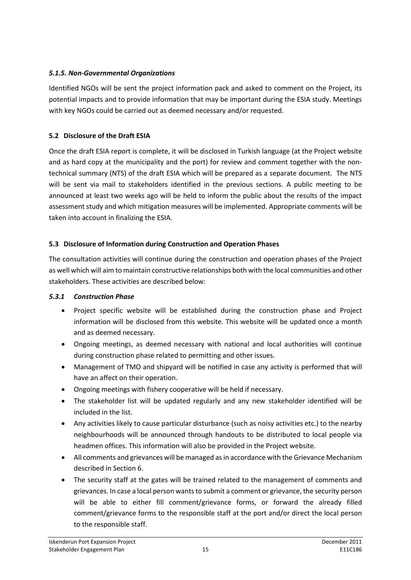### *5.1.5. Non-Governmental Organizations*

Identified NGOs will be sent the project information pack and asked to comment on the Project, its potential impacts and to provide information that may be important during the ESIA study. Meetings with key NGOs could be carried out as deemed necessary and/or requested.

### **5.2 Disclosure of the Draft ESIA**

Once the draft ESIA report is complete, it will be disclosed in Turkish language (at the Project website and as hard copy at the municipality and the port) for review and comment together with the nontechnical summary (NTS) of the draft ESIA which will be prepared as a separate document. The NTS will be sent via mail to stakeholders identified in the previous sections. A public meeting to be announced at least two weeks ago will be held to inform the public about the results of the impact assessment study and which mitigation measures will be implemented. Appropriate comments will be taken into account in finalizing the ESIA.

### **5.3 Disclosure of Information during Construction and Operation Phases**

The consultation activities will continue during the construction and operation phases of the Project as well which will aim to maintain constructive relationships both with the local communities and other stakeholders. These activities are described below:

### *5.3.1 Construction Phase*

- Project specific website will be established during the construction phase and Project information will be disclosed from this website. This website will be updated once a month and as deemed necessary.
- Ongoing meetings, as deemed necessary with national and local authorities will continue during construction phase related to permitting and other issues.
- Management of TMO and shipyard will be notified in case any activity is performed that will have an affect on their operation.
- Ongoing meetings with fishery cooperative will be held if necessary.
- The stakeholder list will be updated regularly and any new stakeholder identified will be included in the list.
- Any activities likely to cause particular disturbance (such as noisy activities etc.) to the nearby neighbourhoods will be announced through handouts to be distributed to local people via headmen offices. This information will also be provided in the Project website.
- All comments and grievances will be managed as in accordance with the Grievance Mechanism described in Section 6.
- The security staff at the gates will be trained related to the management of comments and grievances. In case a local person wants to submit a comment or grievance, the security person will be able to either fill comment/grievance forms, or forward the already filled comment/grievance forms to the responsible staff at the port and/or direct the local person to the responsible staff.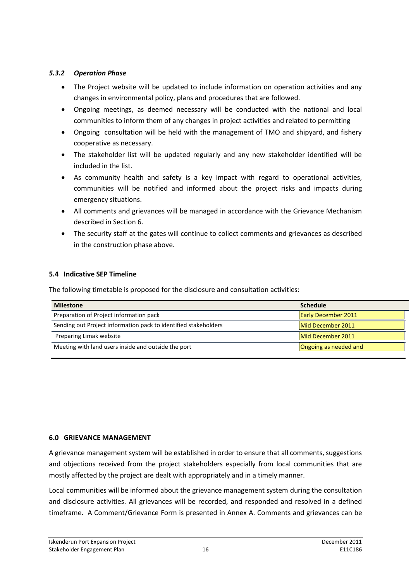### *5.3.2 Operation Phase*

- The Project website will be updated to include information on operation activities and any changes in environmental policy, plans and procedures that are followed.
- Ongoing meetings, as deemed necessary will be conducted with the national and local communities to inform them of any changes in project activities and related to permitting
- Ongoing consultation will be held with the management of TMO and shipyard, and fishery cooperative as necessary.
- The stakeholder list will be updated regularly and any new stakeholder identified will be included in the list.
- As community health and safety is a key impact with regard to operational activities, communities will be notified and informed about the project risks and impacts during emergency situations.
- All comments and grievances will be managed in accordance with the Grievance Mechanism described in Section 6.
- The security staff at the gates will continue to collect comments and grievances as described in the construction phase above.

### **5.4 Indicative SEP Timeline**

The following timetable is proposed for the disclosure and consultation activities:

| <b>Milestone</b>                                                | <b>Schedule</b>            |
|-----------------------------------------------------------------|----------------------------|
| Preparation of Project information pack                         | <b>Early December 2011</b> |
| Sending out Project information pack to identified stakeholders | Mid December 2011          |
| Preparing Limak website                                         | Mid December 2011          |
| Meeting with land users inside and outside the port             | Ongoing as needed and      |

### **6.0 GRIEVANCE MANAGEMENT**

A grievance management system will be established in order to ensure that all comments, suggestions and objections received from the project stakeholders especially from local communities that are mostly affected by the project are dealt with appropriately and in a timely manner.

Local communities will be informed about the grievance management system during the consultation and disclosure activities. All grievances will be recorded, and responded and resolved in a defined timeframe. A Comment/Grievance Form is presented in Annex A. Comments and grievances can be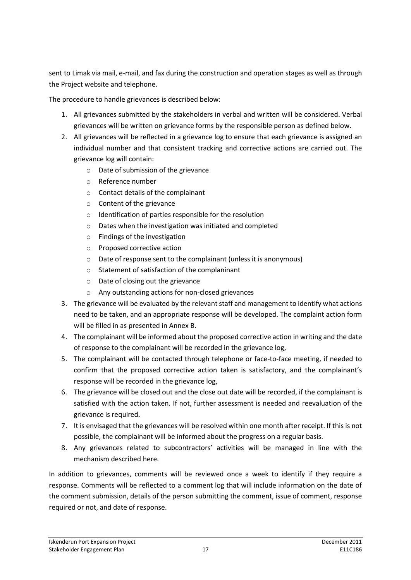sent to Limak via mail, e-mail, and fax during the construction and operation stages as well as through the Project website and telephone.

The procedure to handle grievances is described below:

- 1. All grievances submitted by the stakeholders in verbal and written will be considered. Verbal grievances will be written on grievance forms by the responsible person as defined below.
- 2. All grievances will be reflected in a grievance log to ensure that each grievance is assigned an individual number and that consistent tracking and corrective actions are carried out. The grievance log will contain:
	- o Date of submission of the grievance
	- o Reference number
	- o Contact details of the complainant
	- o Content of the grievance
	- o Identification of parties responsible for the resolution
	- o Dates when the investigation was initiated and completed
	- o Findings of the investigation
	- o Proposed corrective action
	- o Date of response sent to the complainant (unless it is anonymous)
	- o Statement of satisfaction of the complaninant
	- o Date of closing out the grievance
	- o Any outstanding actions for non-closed grievances
- 3. The grievance will be evaluated by the relevant staff and management to identify what actions need to be taken, and an appropriate response will be developed. The complaint action form will be filled in as presented in Annex B.
- 4. The complainant will be informed about the proposed corrective action in writing and the date of response to the complainant will be recorded in the grievance log,
- 5. The complainant will be contacted through telephone or face-to-face meeting, if needed to confirm that the proposed corrective action taken is satisfactory, and the complainant's response will be recorded in the grievance log,
- 6. The grievance will be closed out and the close out date will be recorded, if the complainant is satisfied with the action taken. If not, further assessment is needed and reevaluation of the grievance is required.
- 7. It is envisaged that the grievances will be resolved within one month after receipt. If this is not possible, the complainant will be informed about the progress on a regular basis.
- 8. Any grievances related to subcontractors' activities will be managed in line with the mechanism described here.

In addition to grievances, comments will be reviewed once a week to identify if they require a response. Comments will be reflected to a comment log that will include information on the date of the comment submission, details of the person submitting the comment, issue of comment, response required or not, and date of response.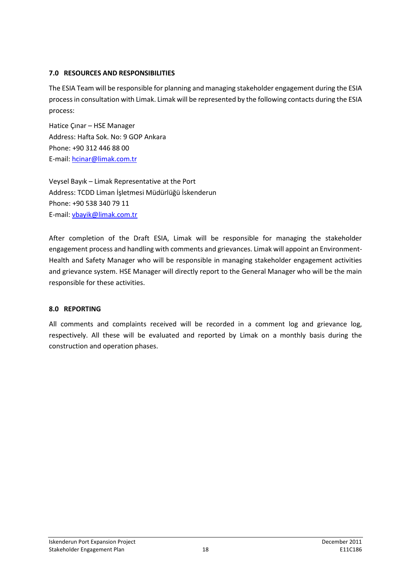### **7.0 RESOURCES AND RESPONSIBILITIES**

The ESIA Team will be responsible for planning and managing stakeholder engagement during the ESIA process in consultation with Limak. Limak will be represented by the following contacts during the ESIA process:

Hatice Çınar – HSE Manager Address: Hafta Sok. No: 9 GOP Ankara Phone: +90 312 446 88 00 E-mail: [hcinar@limak.com.tr](mailto:hcinar@limak.com.tr)

Veysel Bayık – Limak Representative at the Port Address: TCDD Liman İşletmesi Müdürlüğü İskenderun Phone: +90 538 340 79 11 E-mail: [vbayik@limak.com.tr](mailto:vbayik@limak.com.tr)

After completion of the Draft ESIA, Limak will be responsible for managing the stakeholder engagement process and handling with comments and grievances. Limak will appoint an Environment-Health and Safety Manager who will be responsible in managing stakeholder engagement activities and grievance system. HSE Manager will directly report to the General Manager who will be the main responsible for these activities.

### **8.0 REPORTING**

All comments and complaints received will be recorded in a comment log and grievance log, respectively. All these will be evaluated and reported by Limak on a monthly basis during the construction and operation phases.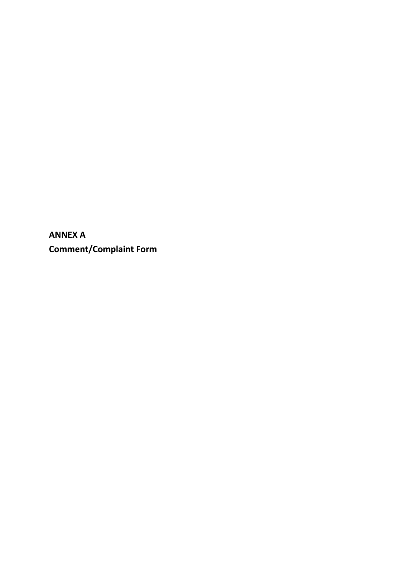**ANNEX A Comment/Complaint Form**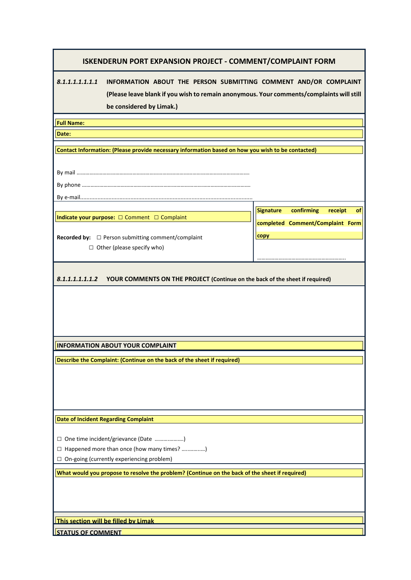*8.1.1.1.1.1.1.1* **INFORMATION ABOUT THE PERSON SUBMITTING COMMENT AND/OR COMPLAINT (Please leave blank if you wish to remain anonymous. Your comments/complaints will still be considered by Limak.)**

> **Signature confirming receipt of completed Comment/Complaint Form**

……………………………………………………..

**copy**

**Full Name:**

**Date:**

**Contact Information: (Please provide necessary information based on how you wish to be contacted)**

By mail ………………………………………………………………………………………………………….

By e-mail..............................................................................................................

**Indicate your purpose:** □ Comment □ Complaint

By phone ……………………………………………………………………………………………………….

**Recorded by:** □ Person submitting comment/complaint □ Other (please specify who)

*8.1.1.1.1.1.1.2* **YOUR COMMENTS ON THE PROJECT (Continue on the back of the sheet if required)**

**INFORMATION ABOUT YOUR COMPLAINT**

**Describe the Complaint: (Continue on the back of the sheet if required)**

**Date of Incident Regarding Complaint**

□ One time incident/grievance (Date ……….……….)

□ Happened more than once (how many times? …..……..…)

□ On-going (currently experiencing problem)

**What would you propose to resolve the problem? (Continue on the back of the sheet if required)**

**This section will be filled by Limak**

**STATUS OF COMMENT**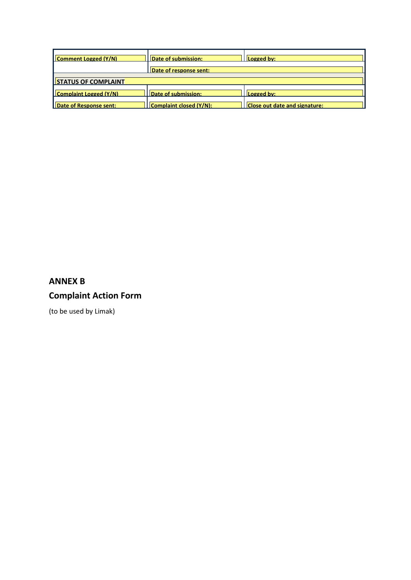| Comment Logged (Y/N)   | Date of submission:     | Logged by:                    |  |  |
|------------------------|-------------------------|-------------------------------|--|--|
|                        | Date of response sent:  |                               |  |  |
| STATUS OF COMPLAINT    |                         |                               |  |  |
| Complaint Logged (Y/N) | Date of submission:     | Logged by:                    |  |  |
| Date of Response sent: | Complaint closed (Y/N): | Close out date and signature: |  |  |

## **ANNEX B Complaint Action Form**

(to be used by Limak)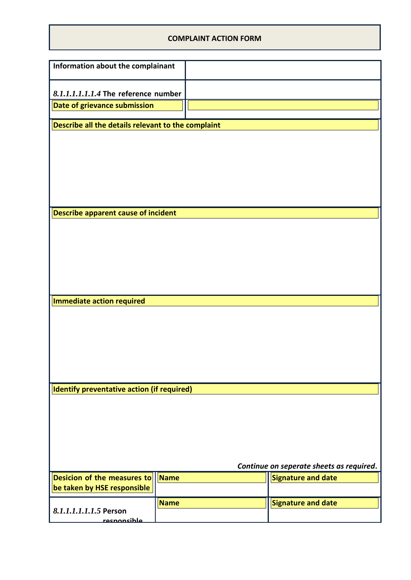### **COMPLAINT ACTION FORM**

| 8.1.1.1.1.1.1.4 The reference number       |                                                                                 |                                                    |                                          |
|--------------------------------------------|---------------------------------------------------------------------------------|----------------------------------------------------|------------------------------------------|
| Date of grievance submission               |                                                                                 |                                                    |                                          |
|                                            |                                                                                 |                                                    |                                          |
|                                            |                                                                                 |                                                    |                                          |
|                                            |                                                                                 |                                                    |                                          |
|                                            |                                                                                 |                                                    |                                          |
|                                            |                                                                                 |                                                    |                                          |
|                                            |                                                                                 |                                                    |                                          |
|                                            |                                                                                 |                                                    |                                          |
|                                            |                                                                                 |                                                    |                                          |
|                                            |                                                                                 |                                                    |                                          |
|                                            |                                                                                 |                                                    |                                          |
|                                            |                                                                                 |                                                    |                                          |
| Immediate action required                  |                                                                                 |                                                    |                                          |
|                                            |                                                                                 |                                                    |                                          |
|                                            |                                                                                 |                                                    |                                          |
|                                            |                                                                                 |                                                    |                                          |
|                                            |                                                                                 |                                                    |                                          |
| Identify preventative action (if required) |                                                                                 |                                                    |                                          |
|                                            |                                                                                 |                                                    |                                          |
|                                            |                                                                                 |                                                    |                                          |
|                                            |                                                                                 |                                                    |                                          |
|                                            |                                                                                 |                                                    |                                          |
|                                            |                                                                                 |                                                    |                                          |
|                                            |                                                                                 |                                                    | Continue on seperate sheets as required. |
| <b>Name</b>                                |                                                                                 |                                                    | Signature and date                       |
| Name                                       |                                                                                 |                                                    | <b>Signature and date</b>                |
|                                            | Information about the complainant<br><b>Describe apparent cause of incident</b> | Describe all the details relevant to the complaint |                                          |